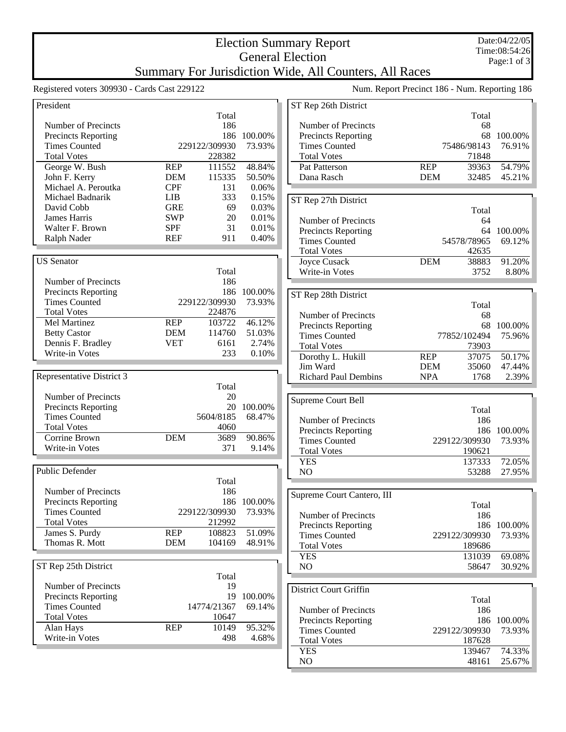## Election Summary Report General Election Summary For Jurisdiction Wide, All Counters, All Races

Registered voters 309930 - Cards Cast 229122 Num. Report Precinct 186 - Num. Reporting 186

| President                  |            |               |         | ST <sub>R</sub> |
|----------------------------|------------|---------------|---------|-----------------|
|                            |            | Total         |         |                 |
| Number of Precincts        |            | 186           |         | Nui             |
| <b>Precincts Reporting</b> |            | 186           | 100.00% | Pre             |
| <b>Times Counted</b>       |            | 229122/309930 | 73.93%  | Tin             |
| <b>Total Votes</b>         |            | 228382        |         | Tot             |
| George W. Bush             | <b>REP</b> | 111552        | 48.84%  | Pat             |
| John F. Kerry              | <b>DEM</b> | 115335        | 50.50%  | Dai             |
| Michael A. Peroutka        | <b>CPF</b> | 131           | 0.06%   |                 |
| Michael Badnarik           | <b>LIB</b> | 333           | 0.15%   | ST <sub>R</sub> |
| David Cobb                 | <b>GRE</b> | 69            | 0.03%   |                 |
| James Harris               | SWP        | 20            | 0.01%   | Nui             |
| Walter F. Brown            | <b>SPF</b> | 31            | 0.01%   | Pre             |
| Ralph Nader                | <b>REF</b> | 911           | 0.40%   | Tin             |
|                            |            |               |         | Tot             |
| <b>US</b> Senator          |            |               |         | Joy             |
|                            |            | Total         |         | Wr              |
| Number of Precincts        |            | 186           |         |                 |
| <b>Precincts Reporting</b> |            | 186           | 100.00% | ST <sub>R</sub> |
| <b>Times Counted</b>       |            | 229122/309930 | 73.93%  |                 |
| <b>Total Votes</b>         |            | 224876        |         | Nu              |
| Mel Martinez               | <b>REP</b> | 103722        | 46.12%  | Pre             |
| <b>Betty Castor</b>        | <b>DEM</b> | 114760        | 51.03%  | Tin             |
| Dennis F. Bradley          | <b>VET</b> | 6161          | 2.74%   | Tot             |
| Write-in Votes             |            | 233           | 0.10%   | DoI             |
|                            |            |               |         | Jim             |
| Representative District 3  |            |               |         | Ric             |
|                            |            | Total         |         |                 |
| Number of Precincts        |            | 20            |         | Supre           |
| <b>Precincts Reporting</b> |            | 20            | 100.00% |                 |
| <b>Times Counted</b>       |            | 5604/8185     | 68.47%  | Nu              |
| <b>Total Votes</b>         |            | 4060          |         | Pre             |
| Corrine Brown              | <b>DEM</b> | 3689          | 90.86%  | Tin             |
| Write-in Votes             |            | 371           | 9.14%   | Tot             |
|                            |            |               |         | YE              |
| Public Defender            |            |               |         | N <sub>O</sub>  |
|                            |            | Total         |         |                 |
| Number of Precincts        |            | 186           |         |                 |
| <b>Precincts Reporting</b> |            | 186           | 100.00% | Supre           |
| <b>Times Counted</b>       |            | 229122/309930 | 73.93%  | Nu              |
| <b>Total Votes</b>         |            | 212992        |         | Pre             |
| James S. Purdy             | <b>REP</b> | 108823        | 51.09%  | Tin             |
| Thomas R. Mott             | <b>DEM</b> | 104169        | 48.91%  | Tot             |
|                            |            |               |         | YE              |
| ST Rep 25th District       |            |               |         | N <sub>O</sub>  |
|                            |            | Total         |         |                 |
| Number of Precincts        |            | 19            |         |                 |
| <b>Precincts Reporting</b> |            | 19            | 100.00% | Distri          |
| <b>Times Counted</b>       |            | 14774/21367   | 69.14%  |                 |
| <b>Total Votes</b>         |            | 10647         |         | Nu              |
| Alan Hays                  | <b>REP</b> | 10149         | 95.32%  | Pre             |
| Write-in Votes             |            | 498           | 4.68%   | Tin             |
|                            |            |               |         | Tot             |
|                            |            |               |         | <b>YF</b>       |

| ST Rep 26th District          |            |                 |                  |
|-------------------------------|------------|-----------------|------------------|
|                               |            | Total           |                  |
| Number of Precincts           |            | 68              |                  |
| <b>Precincts Reporting</b>    |            | 68              | 100.00%          |
| <b>Times Counted</b>          |            | 75486/98143     | 76.91%           |
| <b>Total Votes</b>            |            | 71848           |                  |
| Pat Patterson                 | <b>REP</b> | 39363           | 54.79%           |
| Dana Rasch                    | <b>DEM</b> | 32485           | 45.21%           |
|                               |            |                 |                  |
|                               |            |                 |                  |
| ST Rep 27th District          |            |                 |                  |
|                               |            | Total           |                  |
| Number of Precincts           |            | 64              |                  |
| <b>Precincts Reporting</b>    |            | 64              | 100.00%          |
| <b>Times Counted</b>          |            | 54578/78965     | 69.12%           |
| <b>Total Votes</b>            |            | 42635           |                  |
| <b>Joyce Cusack</b>           | <b>DEM</b> | 38883           | 91.20%           |
| Write-in Votes                |            | 3752            | 8.80%            |
|                               |            |                 |                  |
| ST Rep 28th District          |            |                 |                  |
|                               |            | Total           |                  |
| Number of Precincts           |            | 68              |                  |
| <b>Precincts Reporting</b>    |            | 68              | 100.00%          |
| <b>Times Counted</b>          |            | 77852/102494    | 75.96%           |
| <b>Total Votes</b>            |            | 73903           |                  |
| Dorothy L. Hukill             | <b>REP</b> | 37075           | 50.17%           |
| Jim Ward                      | <b>DEM</b> | 35060           | 47.44%           |
| <b>Richard Paul Dembins</b>   | <b>NPA</b> | 1768            | 2.39%            |
|                               |            |                 |                  |
|                               |            |                 |                  |
|                               |            |                 |                  |
| Supreme Court Bell            |            |                 |                  |
|                               |            | Total           |                  |
| Number of Precincts           |            | 186             |                  |
| <b>Precincts Reporting</b>    |            | 186             | 100.00%          |
| <b>Times Counted</b>          |            | 229122/309930   | 73.93%           |
| <b>Total Votes</b>            |            | 190621          |                  |
| <b>YES</b>                    |            | 137333          | 72.05%           |
| NO                            |            | 53288           | 27.95%           |
|                               |            |                 |                  |
| Supreme Court Cantero, III    |            |                 |                  |
|                               |            | Total           |                  |
| Number of Precincts           |            | 186             |                  |
| <b>Precincts Reporting</b>    |            | 186             | 100.00%          |
| <b>Times Counted</b>          |            | 229122/309930   | 73.93%           |
| <b>Total Votes</b>            |            | 189686          |                  |
| <b>YES</b>                    |            |                 | 69.08%           |
|                               |            | 131039          |                  |
| N <sub>O</sub>                |            | 58647           | 30.92%           |
|                               |            |                 |                  |
| <b>District Court Griffin</b> |            |                 |                  |
|                               |            | Total           |                  |
| Number of Precincts           |            | 186             |                  |
| <b>Precincts Reporting</b>    |            | 186             | 100.00%          |
| <b>Times Counted</b>          |            | 229122/309930   | 73.93%           |
| <b>Total Votes</b>            |            | 187628          |                  |
| <b>YES</b><br>NO              |            | 139467<br>48161 | 74.33%<br>25.67% |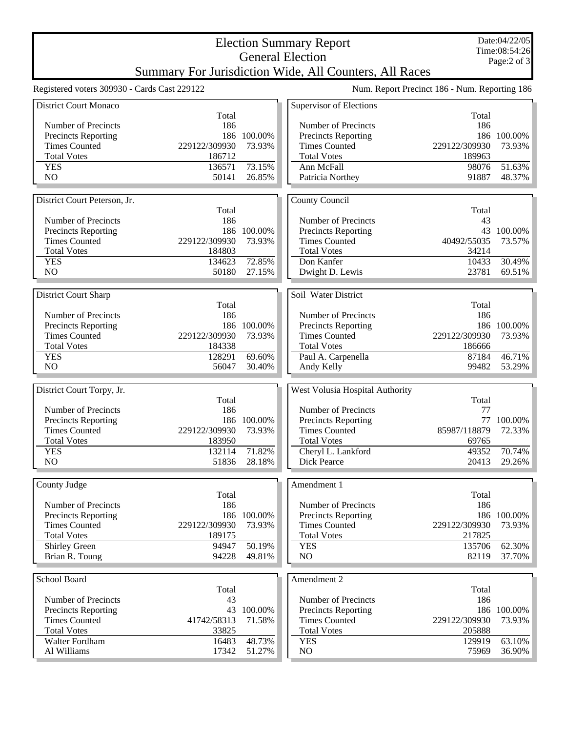## Election Summary Report General Election Summary For Jurisdiction Wide, All Counters, All Races

Registered voters 309930 - Cards Cast 229122 Num. Report Precinct 186 - Num. Reporting 186

| <b>District Court Monaco</b>               |                         |                  | Supervisor of Elections          |                         |                  |
|--------------------------------------------|-------------------------|------------------|----------------------------------|-------------------------|------------------|
|                                            | Total                   |                  |                                  | Total                   |                  |
| Number of Precincts                        | 186                     |                  | Number of Precincts              | 186                     |                  |
| <b>Precincts Reporting</b>                 |                         | 186 100.00%      | Precincts Reporting              |                         | 186 100.00%      |
| <b>Times Counted</b>                       | 229122/309930           | 73.93%           | <b>Times Counted</b>             | 229122/309930           | 73.93%           |
| <b>Total Votes</b>                         | 186712                  |                  | <b>Total Votes</b>               | 189963                  |                  |
| <b>YES</b>                                 | 136571                  | 73.15%           | Ann McFall                       | 98076                   | 51.63%           |
| N <sub>O</sub>                             | 50141                   | 26.85%           | Patricia Northey                 | 91887                   | 48.37%           |
|                                            |                         |                  |                                  |                         |                  |
| District Court Peterson, Jr.               | Total                   |                  | County Council                   | Total                   |                  |
| Number of Precincts                        | 186                     |                  | Number of Precincts              | 43                      |                  |
| <b>Precincts Reporting</b>                 | 186                     | 100.00%          | <b>Precincts Reporting</b>       |                         | 43 100.00%       |
| <b>Times Counted</b>                       | 229122/309930           | 73.93%           | <b>Times Counted</b>             | 40492/55035             | 73.57%           |
| <b>Total Votes</b>                         | 184803                  |                  | <b>Total Votes</b>               | 34214                   |                  |
| <b>YES</b>                                 | 134623                  | 72.85%           | Don Kanfer                       | 10433                   | 30.49%           |
| N <sub>O</sub>                             | 50180                   | 27.15%           | Dwight D. Lewis                  | 23781                   | 69.51%           |
|                                            |                         |                  |                                  |                         |                  |
| District Court Sharp                       |                         |                  | Soil Water District              |                         |                  |
|                                            | Total                   |                  |                                  | Total                   |                  |
| Number of Precincts                        | 186                     |                  | Number of Precincts              | 186                     |                  |
| Precincts Reporting                        | 186                     | 100.00%          | Precincts Reporting              |                         | 186 100.00%      |
| <b>Times Counted</b>                       | 229122/309930           | 73.93%           | <b>Times Counted</b>             | 229122/309930           | 73.93%           |
| <b>Total Votes</b>                         | 184338                  |                  | <b>Total Votes</b>               | 186666                  |                  |
| <b>YES</b>                                 | 128291                  | 69.60%           | Paul A. Carpenella               | 87184                   | 46.71%           |
| NO                                         | 56047                   | 30.40%           | Andy Kelly                       | 99482                   | 53.29%           |
|                                            |                         |                  |                                  |                         |                  |
|                                            |                         |                  |                                  |                         |                  |
| District Court Torpy, Jr.                  |                         |                  | West Volusia Hospital Authority  |                         |                  |
|                                            | Total                   |                  |                                  | Total                   |                  |
| Number of Precincts                        | 186                     |                  | Number of Precincts              | 77                      |                  |
| <b>Precincts Reporting</b>                 | 186                     | 100.00%          | <b>Precincts Reporting</b>       | 77                      | 100.00%          |
| <b>Times Counted</b>                       | 229122/309930           | 73.93%           | <b>Times Counted</b>             | 85987/118879            | 72.33%           |
| <b>Total Votes</b>                         | 183950                  |                  | <b>Total Votes</b>               | 69765                   |                  |
| <b>YES</b>                                 | 132114                  | 71.82%           | Cheryl L. Lankford               | 49352                   | 70.74%           |
| NO                                         | 51836                   | 28.18%           | <b>Dick Pearce</b>               | 20413                   | 29.26%           |
|                                            |                         |                  |                                  |                         |                  |
| County Judge                               |                         |                  | Amendment 1                      |                         |                  |
|                                            | Total                   |                  |                                  | Total                   |                  |
| Number of Precincts                        | 186                     |                  | Number of Precincts              | 186                     |                  |
| Precincts Reporting                        |                         | 186 100.00%      | Precincts Reporting              |                         | 186 100.00%      |
| <b>Times Counted</b><br><b>Total Votes</b> | 229122/309930<br>189175 | 73.93%           | <b>Times Counted</b>             | 229122/309930<br>217825 | 73.93%           |
| Shirley Green                              | 94947                   | 50.19%           | <b>Total Votes</b><br><b>YES</b> | 135706                  | 62.30%           |
| Brian R. Toung                             | 94228                   | 49.81%           | NO.                              | 82119                   | 37.70%           |
|                                            |                         |                  |                                  |                         |                  |
| School Board                               |                         |                  | Amendment 2                      |                         |                  |
|                                            | Total                   |                  |                                  | Total                   |                  |
| Number of Precincts                        | 43                      |                  | Number of Precincts              | 186                     |                  |
| <b>Precincts Reporting</b>                 | 43                      | 100.00%          | Precincts Reporting              |                         | 186 100.00%      |
| <b>Times Counted</b>                       | 41742/58313             | 71.58%           | <b>Times Counted</b>             | 229122/309930           | 73.93%           |
| <b>Total Votes</b>                         | 33825                   |                  | <b>Total Votes</b>               | 205888                  |                  |
| Walter Fordham<br>Al Williams              | 16483<br>17342          | 48.73%<br>51.27% | <b>YES</b><br>NO.                | 129919<br>75969         | 63.10%<br>36.90% |